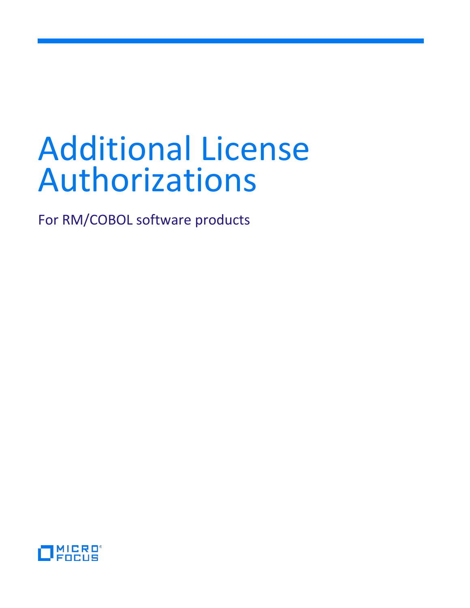# Additional License Authorizations

For RM/COBOL software products

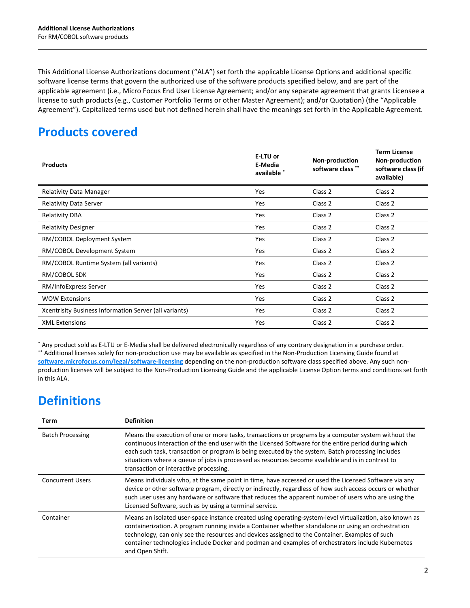This Additional License Authorizations document ("ALA") set forth the applicable License Options and additional specific software license terms that govern the authorized use of the software products specified below, and are part of the applicable agreement (i.e., Micro Focus End User License Agreement; and/or any separate agreement that grants Licensee a license to such products (e.g., Customer Portfolio Terms or other Master Agreement); and/or Quotation) (the "Applicable Agreement"). Capitalized terms used but not defined herein shall have the meanings set forth in the Applicable Agreement.

# **Products covered**

| <b>Products</b>                                        | E-LTU or<br>E-Media<br>available * | Non-production<br>software class ** | <b>Term License</b><br>Non-production<br>software class (if<br>available) |
|--------------------------------------------------------|------------------------------------|-------------------------------------|---------------------------------------------------------------------------|
| <b>Relativity Data Manager</b>                         | Yes                                | Class 2                             | Class 2                                                                   |
| <b>Relativity Data Server</b>                          | Yes                                | Class 2                             | Class 2                                                                   |
| <b>Relativity DBA</b>                                  | <b>Yes</b>                         | Class 2                             | Class 2                                                                   |
| <b>Relativity Designer</b>                             | Yes                                | Class 2                             | Class 2                                                                   |
| RM/COBOL Deployment System                             | <b>Yes</b>                         | Class 2                             | Class 2                                                                   |
| RM/COBOL Development System                            | Yes                                | Class 2                             | Class 2                                                                   |
| RM/COBOL Runtime System (all variants)                 | <b>Yes</b>                         | Class 2                             | Class 2                                                                   |
| RM/COBOL SDK                                           | Yes                                | Class 2                             | Class 2                                                                   |
| RM/InfoExpress Server                                  | Yes                                | Class 2                             | Class 2                                                                   |
| <b>WOW Extensions</b>                                  | Yes                                | Class 2                             | Class 2                                                                   |
| Xcentrisity Business Information Server (all variants) | Yes                                | Class 2                             | Class 2                                                                   |
| <b>XML Extensions</b>                                  | Yes                                | Class 2                             | Class 2                                                                   |

\* Any product sold as E-LTU or E-Media shall be delivered electronically regardless of any contrary designation in a purchase order. \*\* Additional licenses solely for non-production use may be available as specified in the Non-Production Licensing Guide found at **[software.microfocus.com/legal/software-licensing](http://software.microfocus.com/legal/software-licensing)** depending on the non-production software class specified above. Any such nonproduction licenses will be subject to the Non-Production Licensing Guide and the applicable License Option terms and conditions set forth in this ALA.

# **Definitions**

| Term                    | <b>Definition</b>                                                                                                                                                                                                                                                                                                                                                                                                                                               |
|-------------------------|-----------------------------------------------------------------------------------------------------------------------------------------------------------------------------------------------------------------------------------------------------------------------------------------------------------------------------------------------------------------------------------------------------------------------------------------------------------------|
| <b>Batch Processing</b> | Means the execution of one or more tasks, transactions or programs by a computer system without the<br>continuous interaction of the end user with the Licensed Software for the entire period during which<br>each such task, transaction or program is being executed by the system. Batch processing includes<br>situations where a queue of jobs is processed as resources become available and is in contrast to<br>transaction or interactive processing. |
| <b>Concurrent Users</b> | Means individuals who, at the same point in time, have accessed or used the Licensed Software via any<br>device or other software program, directly or indirectly, regardless of how such access occurs or whether<br>such user uses any hardware or software that reduces the apparent number of users who are using the<br>Licensed Software, such as by using a terminal service.                                                                            |
| Container               | Means an isolated user-space instance created using operating-system-level virtualization, also known as<br>containerization. A program running inside a Container whether standalone or using an orchestration<br>technology, can only see the resources and devices assigned to the Container. Examples of such<br>container technologies include Docker and podman and examples of orchestrators include Kubernetes<br>and Open Shift.                       |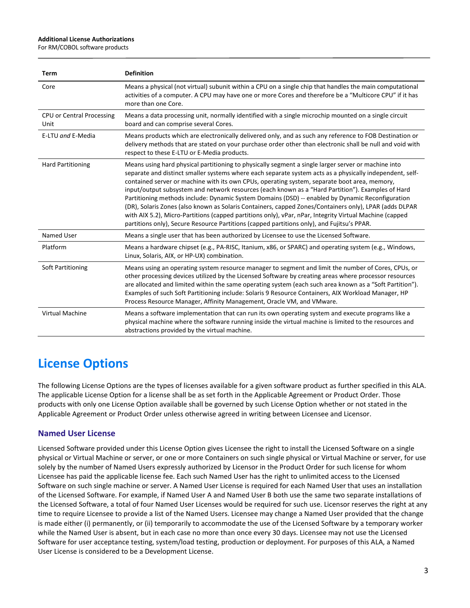#### **Additional License Authorizations**

For RM/COBOL software products

| <b>Term</b>                       | <b>Definition</b>                                                                                                                                                                                                                                                                                                                                                                                                                                                                                                                                                                                                                                                                                                                                                                                                                           |
|-----------------------------------|---------------------------------------------------------------------------------------------------------------------------------------------------------------------------------------------------------------------------------------------------------------------------------------------------------------------------------------------------------------------------------------------------------------------------------------------------------------------------------------------------------------------------------------------------------------------------------------------------------------------------------------------------------------------------------------------------------------------------------------------------------------------------------------------------------------------------------------------|
| Core                              | Means a physical (not virtual) subunit within a CPU on a single chip that handles the main computational<br>activities of a computer. A CPU may have one or more Cores and therefore be a "Multicore CPU" if it has<br>more than one Core.                                                                                                                                                                                                                                                                                                                                                                                                                                                                                                                                                                                                  |
| CPU or Central Processing<br>Unit | Means a data processing unit, normally identified with a single microchip mounted on a single circuit<br>board and can comprise several Cores.                                                                                                                                                                                                                                                                                                                                                                                                                                                                                                                                                                                                                                                                                              |
| E-LTU and E-Media                 | Means products which are electronically delivered only, and as such any reference to FOB Destination or<br>delivery methods that are stated on your purchase order other than electronic shall be null and void with<br>respect to these E-LTU or E-Media products.                                                                                                                                                                                                                                                                                                                                                                                                                                                                                                                                                                         |
| <b>Hard Partitioning</b>          | Means using hard physical partitioning to physically segment a single larger server or machine into<br>separate and distinct smaller systems where each separate system acts as a physically independent, self-<br>contained server or machine with its own CPUs, operating system, separate boot area, memory,<br>input/output subsystem and network resources (each known as a "Hard Partition"). Examples of Hard<br>Partitioning methods include: Dynamic System Domains (DSD) -- enabled by Dynamic Reconfiguration<br>(DR), Solaris Zones (also known as Solaris Containers, capped Zones/Containers only), LPAR (adds DLPAR<br>with AIX 5.2), Micro-Partitions (capped partitions only), vPar, nPar, Integrity Virtual Machine (capped<br>partitions only), Secure Resource Partitions (capped partitions only), and Fujitsu's PPAR. |
| Named User                        | Means a single user that has been authorized by Licensee to use the Licensed Software.                                                                                                                                                                                                                                                                                                                                                                                                                                                                                                                                                                                                                                                                                                                                                      |
| Platform                          | Means a hardware chipset (e.g., PA-RISC, Itanium, x86, or SPARC) and operating system (e.g., Windows,<br>Linux, Solaris, AIX, or HP-UX) combination.                                                                                                                                                                                                                                                                                                                                                                                                                                                                                                                                                                                                                                                                                        |
| Soft Partitioning                 | Means using an operating system resource manager to segment and limit the number of Cores, CPUs, or<br>other processing devices utilized by the Licensed Software by creating areas where processor resources<br>are allocated and limited within the same operating system (each such area known as a "Soft Partition").<br>Examples of such Soft Partitioning include: Solaris 9 Resource Containers, AIX Workload Manager, HP<br>Process Resource Manager, Affinity Management, Oracle VM, and VMware.                                                                                                                                                                                                                                                                                                                                   |
| <b>Virtual Machine</b>            | Means a software implementation that can run its own operating system and execute programs like a<br>physical machine where the software running inside the virtual machine is limited to the resources and<br>abstractions provided by the virtual machine.                                                                                                                                                                                                                                                                                                                                                                                                                                                                                                                                                                                |

# **License Options**

The following License Options are the types of licenses available for a given software product as further specified in this ALA. The applicable License Option for a license shall be as set forth in the Applicable Agreement or Product Order. Those products with only one License Option available shall be governed by such License Option whether or not stated in the Applicable Agreement or Product Order unless otherwise agreed in writing between Licensee and Licensor.

# **Named User License**

Licensed Software provided under this License Option gives Licensee the right to install the Licensed Software on a single physical or Virtual Machine or server, or one or more Containers on such single physical or Virtual Machine or server, for use solely by the number of Named Users expressly authorized by Licensor in the Product Order for such license for whom Licensee has paid the applicable license fee. Each such Named User has the right to unlimited access to the Licensed Software on such single machine or server. A Named User License is required for each Named User that uses an installation of the Licensed Software. For example, if Named User A and Named User B both use the same two separate installations of the Licensed Software, a total of four Named User Licenses would be required for such use. Licensor reserves the right at any time to require Licensee to provide a list of the Named Users. Licensee may change a Named User provided that the change is made either (i) permanently, or (ii) temporarily to accommodate the use of the Licensed Software by a temporary worker while the Named User is absent, but in each case no more than once every 30 days. Licensee may not use the Licensed Software for user acceptance testing, system/load testing, production or deployment. For purposes of this ALA, a Named User License is considered to be a Development License.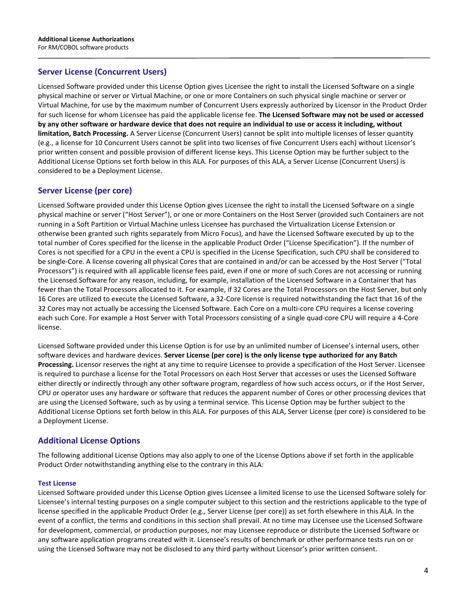## **Server License (Concurrent Users)**

Licensed Software provided under this License Option gives Licensee the right to install the Licensed Software on a single physical machine or server or Virtual Machine, or one or more Containers on such physical single machine or server or Virtual Machine, for use by the maximum number of Concurrent Users expressly authorized by Licensor in the Product Order for such license for whom Licensee has paid the applicable license fee. **The Licensed Software may not be used or accessed by any other software or hardware device that does not require an individual to use or access it including, without limitation, Batch Processing.** A Server License (Concurrent Users) cannot be split into multiple licenses of lesser quantity (e.g., a license for 10 Concurrent Users cannot be split into two licenses of five Concurrent Users each) without Licensor's prior written consent and possible provision of different license keys. This License Option may be further subject to the Additional License Options set forth below in this ALA. For purposes of this ALA, a Server License (Concurrent Users) is considered to be a Deployment License.

# **Server License (per core)**

Licensed Software provided under this License Option gives Licensee the right to install the Licensed Software on a single physical machine or server ("Host Server"), or one or more Containers on the Host Server (provided such Containers are not running in a Soft Partition or Virtual Machine unless Licensee has purchased the Virtualization License Extension or otherwise been granted such rights separately from Micro Focus), and have the Licensed Software executed by up to the total number of Cores specified for the license in the applicable Product Order ("License Specification"). If the number of Cores is not specified for a CPU in the event a CPU is specified in the License Specification, such CPU shall be considered to be single-Core. A license covering all physical Cores that are contained in and/or can be accessed by the Host Server ("Total Processors") is required with all applicable license fees paid, even if one or more of such Cores are not accessing or running the Licensed Software for any reason, including, for example, installation of the Licensed Software in a Container that has fewer than the Total Processors allocated to it. For example, if 32 Cores are the Total Processors on the Host Server, but only 16 Cores are utilized to execute the Licensed Software, a 32-Core license is required notwithstanding the fact that 16 of the 32 Cores may not actually be accessing the Licensed Software. Each Core on a multi-core CPU requires a license covering each such Core. For example a Host Server with Total Processors consisting of a single quad-core CPU will require a 4-Core license.

Licensed Software provided under this License Option is for use by an unlimited number of Licensee's internal users, other software devices and hardware devices. **Server License (per core) is the only license type authorized for any Batch Processing.** Licensor reserves the right at any time to require Licensee to provide a specification of the Host Server. Licensee is required to purchase a license for the Total Processors on each Host Server that accesses or uses the Licensed Software either directly or indirectly through any other software program, regardless of how such access occurs, or if the Host Server, CPU or operator uses any hardware or software that reduces the apparent number of Cores or other processing devices that are using the Licensed Software, such as by using a terminal service. This License Option may be further subject to the Additional License Options set forth below in this ALA. For purposes of this ALA, Server License (per core) is considered to be a Deployment License.

#### **Additional License Options**

The following additional License Options may also apply to one of the License Options above if set forth in the applicable Product Order notwithstanding anything else to the contrary in this ALA:

#### **Test License**

Licensed Software provided under this License Option gives Licensee a limited license to use the Licensed Software solely for Licensee's internal testing purposes on a single computer subject to this section and the restrictions applicable to the type of license specified in the applicable Product Order (e.g., Server License (per core)) as set forth elsewhere in this ALA. In the event of a conflict, the terms and conditions in this section shall prevail. At no time may Licensee use the Licensed Software for development, commercial, or production purposes, nor may Licensee reproduce or distribute the Licensed Software or any software application programs created with it. Licensee's results of benchmark or other performance tests run on or using the Licensed Software may not be disclosed to any third party without Licensor's prior written consent.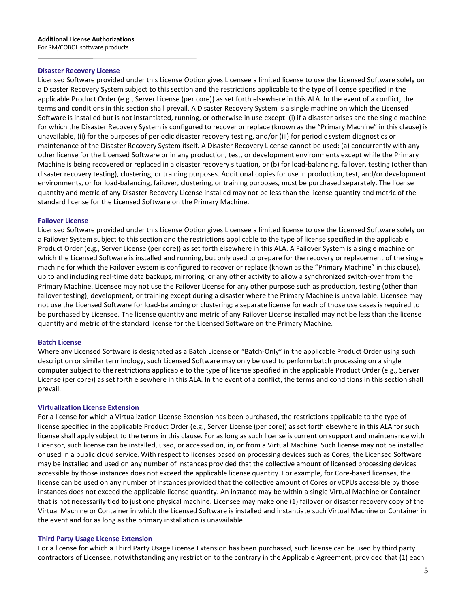#### **Disaster Recovery License**

Licensed Software provided under this License Option gives Licensee a limited license to use the Licensed Software solely on a Disaster Recovery System subject to this section and the restrictions applicable to the type of license specified in the applicable Product Order (e.g., Server License (per core)) as set forth elsewhere in this ALA. In the event of a conflict, the terms and conditions in this section shall prevail. A Disaster Recovery System is a single machine on which the Licensed Software is installed but is not instantiated, running, or otherwise in use except: (i) if a disaster arises and the single machine for which the Disaster Recovery System is configured to recover or replace (known as the "Primary Machine" in this clause) is unavailable, (ii) for the purposes of periodic disaster recovery testing, and/or (iii) for periodic system diagnostics or maintenance of the Disaster Recovery System itself. A Disaster Recovery License cannot be used: (a) concurrently with any other license for the Licensed Software or in any production, test, or development environments except while the Primary Machine is being recovered or replaced in a disaster recovery situation, or (b) for load-balancing, failover, testing (other than disaster recovery testing), clustering, or training purposes. Additional copies for use in production, test, and/or development environments, or for load-balancing, failover, clustering, or training purposes, must be purchased separately. The license quantity and metric of any Disaster Recovery License installed may not be less than the license quantity and metric of the standard license for the Licensed Software on the Primary Machine.

#### **Failover License**

Licensed Software provided under this License Option gives Licensee a limited license to use the Licensed Software solely on a Failover System subject to this section and the restrictions applicable to the type of license specified in the applicable Product Order (e.g., Server License (per core)) as set forth elsewhere in this ALA. A Failover System is a single machine on which the Licensed Software is installed and running, but only used to prepare for the recovery or replacement of the single machine for which the Failover System is configured to recover or replace (known as the "Primary Machine" in this clause), up to and including real-time data backups, mirroring, or any other activity to allow a synchronized switch-over from the Primary Machine. Licensee may not use the Failover License for any other purpose such as production, testing (other than failover testing), development, or training except during a disaster where the Primary Machine is unavailable. Licensee may not use the Licensed Software for load-balancing or clustering; a separate license for each of those use cases is required to be purchased by Licensee. The license quantity and metric of any Failover License installed may not be less than the license quantity and metric of the standard license for the Licensed Software on the Primary Machine.

#### **Batch License**

Where any Licensed Software is designated as a Batch License or "Batch-Only" in the applicable Product Order using such description or similar terminology, such Licensed Software may only be used to perform batch processing on a single computer subject to the restrictions applicable to the type of license specified in the applicable Product Order (e.g., Server License (per core)) as set forth elsewhere in this ALA. In the event of a conflict, the terms and conditions in this section shall prevail.

#### **Virtualization License Extension**

For a license for which a Virtualization License Extension has been purchased, the restrictions applicable to the type of license specified in the applicable Product Order (e.g., Server License (per core)) as set forth elsewhere in this ALA for such license shall apply subject to the terms in this clause. For as long as such license is current on support and maintenance with Licensor, such license can be installed, used, or accessed on, in, or from a Virtual Machine. Such license may not be installed or used in a public cloud service. With respect to licenses based on processing devices such as Cores, the Licensed Software may be installed and used on any number of instances provided that the collective amount of licensed processing devices accessible by those instances does not exceed the applicable license quantity. For example, for Core-based licenses, the license can be used on any number of instances provided that the collective amount of Cores or vCPUs accessible by those instances does not exceed the applicable license quantity. An instance may be within a single Virtual Machine or Container that is not necessarily tied to just one physical machine. Licensee may make one (1) failover or disaster recovery copy of the Virtual Machine or Container in which the Licensed Software is installed and instantiate such Virtual Machine or Container in the event and for as long as the primary installation is unavailable.

#### **Third Party Usage License Extension**

For a license for which a Third Party Usage License Extension has been purchased, such license can be used by third party contractors of Licensee, notwithstanding any restriction to the contrary in the Applicable Agreement, provided that (1) each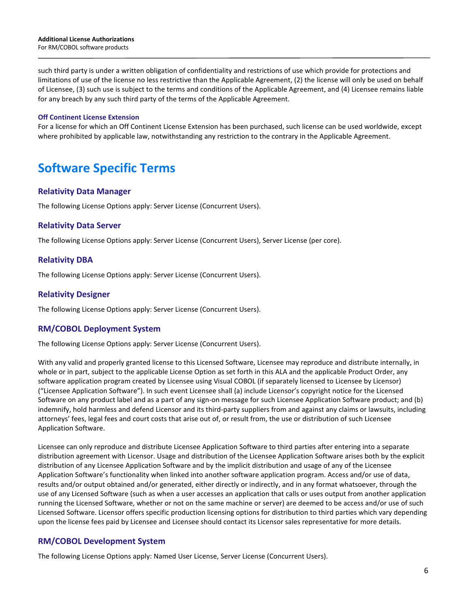#### **Additional License Authorizations** For RM/COBOL software products

such third party is under a written obligation of confidentiality and restrictions of use which provide for protections and limitations of use of the license no less restrictive than the Applicable Agreement, (2) the license will only be used on behalf of Licensee, (3) such use is subject to the terms and conditions of the Applicable Agreement, and (4) Licensee remains liable for any breach by any such third party of the terms of the Applicable Agreement.

#### **Off Continent License Extension**

For a license for which an Off Continent License Extension has been purchased, such license can be used worldwide, except where prohibited by applicable law, notwithstanding any restriction to the contrary in the Applicable Agreement.

# **Software Specific Terms**

#### **Relativity Data Manager**

The following License Options apply: Server License (Concurrent Users).

#### **Relativity Data Server**

The following License Options apply: Server License (Concurrent Users), Server License (per core).

#### **Relativity DBA**

The following License Options apply: Server License (Concurrent Users).

#### **Relativity Designer**

The following License Options apply: Server License (Concurrent Users).

#### **RM/COBOL Deployment System**

The following License Options apply: Server License (Concurrent Users).

With any valid and properly granted license to this Licensed Software, Licensee may reproduce and distribute internally, in whole or in part, subject to the applicable License Option as set forth in this ALA and the applicable Product Order, any software application program created by Licensee using Visual COBOL (if separately licensed to Licensee by Licensor) ("Licensee Application Software"). In such event Licensee shall (a) include Licensor's copyright notice for the Licensed Software on any product label and as a part of any sign-on message for such Licensee Application Software product; and (b) indemnify, hold harmless and defend Licensor and its third-party suppliers from and against any claims or lawsuits, including attorneys' fees, legal fees and court costs that arise out of, or result from, the use or distribution of such Licensee Application Software.

Licensee can only reproduce and distribute Licensee Application Software to third parties after entering into a separate distribution agreement with Licensor. Usage and distribution of the Licensee Application Software arises both by the explicit distribution of any Licensee Application Software and by the implicit distribution and usage of any of the Licensee Application Software's functionality when linked into another software application program. Access and/or use of data, results and/or output obtained and/or generated, either directly or indirectly, and in any format whatsoever, through the use of any Licensed Software (such as when a user accesses an application that calls or uses output from another application running the Licensed Software, whether or not on the same machine or server) are deemed to be access and/or use of such Licensed Software. Licensor offers specific production licensing options for distribution to third parties which vary depending upon the license fees paid by Licensee and Licensee should contact its Licensor sales representative for more details.

#### **RM/COBOL Development System**

The following License Options apply: Named User License, Server License (Concurrent Users).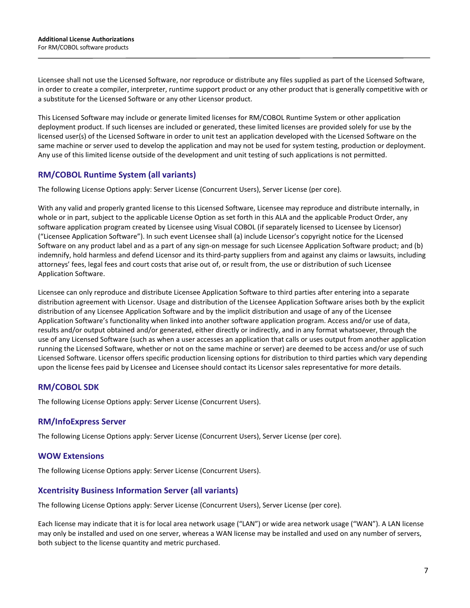Licensee shall not use the Licensed Software, nor reproduce or distribute any files supplied as part of the Licensed Software, in order to create a compiler, interpreter, runtime support product or any other product that is generally competitive with or a substitute for the Licensed Software or any other Licensor product.

This Licensed Software may include or generate limited licenses for RM/COBOL Runtime System or other application deployment product. If such licenses are included or generated, these limited licenses are provided solely for use by the licensed user(s) of the Licensed Software in order to unit test an application developed with the Licensed Software on the same machine or server used to develop the application and may not be used for system testing, production or deployment. Any use of this limited license outside of the development and unit testing of such applications is not permitted.

# **RM/COBOL Runtime System (all variants)**

The following License Options apply: Server License (Concurrent Users), Server License (per core).

With any valid and properly granted license to this Licensed Software, Licensee may reproduce and distribute internally, in whole or in part, subject to the applicable License Option as set forth in this ALA and the applicable Product Order, any software application program created by Licensee using Visual COBOL (if separately licensed to Licensee by Licensor) ("Licensee Application Software"). In such event Licensee shall (a) include Licensor's copyright notice for the Licensed Software on any product label and as a part of any sign-on message for such Licensee Application Software product; and (b) indemnify, hold harmless and defend Licensor and its third-party suppliers from and against any claims or lawsuits, including attorneys' fees, legal fees and court costs that arise out of, or result from, the use or distribution of such Licensee Application Software.

Licensee can only reproduce and distribute Licensee Application Software to third parties after entering into a separate distribution agreement with Licensor. Usage and distribution of the Licensee Application Software arises both by the explicit distribution of any Licensee Application Software and by the implicit distribution and usage of any of the Licensee Application Software's functionality when linked into another software application program. Access and/or use of data, results and/or output obtained and/or generated, either directly or indirectly, and in any format whatsoever, through the use of any Licensed Software (such as when a user accesses an application that calls or uses output from another application running the Licensed Software, whether or not on the same machine or server) are deemed to be access and/or use of such Licensed Software. Licensor offers specific production licensing options for distribution to third parties which vary depending upon the license fees paid by Licensee and Licensee should contact its Licensor sales representative for more details.

# **RM/COBOL SDK**

The following License Options apply: Server License (Concurrent Users).

# **RM/InfoExpress Server**

The following License Options apply: Server License (Concurrent Users), Server License (per core).

# **WOW Extensions**

The following License Options apply: Server License (Concurrent Users).

# **Xcentrisity Business Information Server (all variants)**

The following License Options apply: Server License (Concurrent Users), Server License (per core).

Each license may indicate that it is for local area network usage ("LAN") or wide area network usage ("WAN"). A LAN license may only be installed and used on one server, whereas a WAN license may be installed and used on any number of servers, both subject to the license quantity and metric purchased.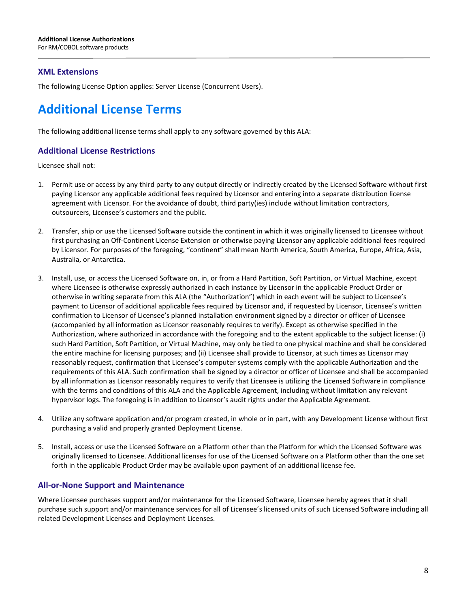### **XML Extensions**

The following License Option applies: Server License (Concurrent Users).

# **Additional License Terms**

The following additional license terms shall apply to any software governed by this ALA:

#### **Additional License Restrictions**

Licensee shall not:

- 1. Permit use or access by any third party to any output directly or indirectly created by the Licensed Software without first paying Licensor any applicable additional fees required by Licensor and entering into a separate distribution license agreement with Licensor. For the avoidance of doubt, third party(ies) include without limitation contractors, outsourcers, Licensee's customers and the public.
- 2. Transfer, ship or use the Licensed Software outside the continent in which it was originally licensed to Licensee without first purchasing an Off-Continent License Extension or otherwise paying Licensor any applicable additional fees required by Licensor. For purposes of the foregoing, "continent" shall mean North America, South America, Europe, Africa, Asia, Australia, or Antarctica.
- 3. Install, use, or access the Licensed Software on, in, or from a Hard Partition, Soft Partition, or Virtual Machine, except where Licensee is otherwise expressly authorized in each instance by Licensor in the applicable Product Order or otherwise in writing separate from this ALA (the "Authorization") which in each event will be subject to Licensee's payment to Licensor of additional applicable fees required by Licensor and, if requested by Licensor, Licensee's written confirmation to Licensor of Licensee's planned installation environment signed by a director or officer of Licensee (accompanied by all information as Licensor reasonably requires to verify). Except as otherwise specified in the Authorization, where authorized in accordance with the foregoing and to the extent applicable to the subject license: (i) such Hard Partition, Soft Partition, or Virtual Machine, may only be tied to one physical machine and shall be considered the entire machine for licensing purposes; and (ii) Licensee shall provide to Licensor, at such times as Licensor may reasonably request, confirmation that Licensee's computer systems comply with the applicable Authorization and the requirements of this ALA. Such confirmation shall be signed by a director or officer of Licensee and shall be accompanied by all information as Licensor reasonably requires to verify that Licensee is utilizing the Licensed Software in compliance with the terms and conditions of this ALA and the Applicable Agreement, including without limitation any relevant hypervisor logs. The foregoing is in addition to Licensor's audit rights under the Applicable Agreement.
- 4. Utilize any software application and/or program created, in whole or in part, with any Development License without first purchasing a valid and properly granted Deployment License.
- 5. Install, access or use the Licensed Software on a Platform other than the Platform for which the Licensed Software was originally licensed to Licensee. Additional licenses for use of the Licensed Software on a Platform other than the one set forth in the applicable Product Order may be available upon payment of an additional license fee.

#### **All-or-None Support and Maintenance**

Where Licensee purchases support and/or maintenance for the Licensed Software, Licensee hereby agrees that it shall purchase such support and/or maintenance services for all of Licensee's licensed units of such Licensed Software including all related Development Licenses and Deployment Licenses.